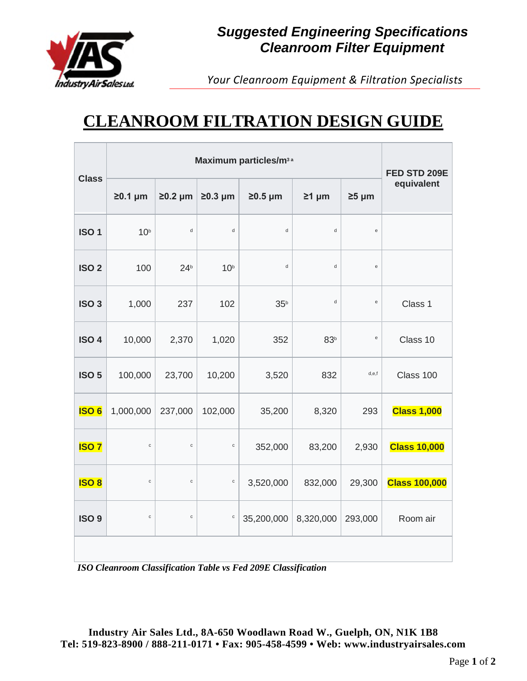

## *Suggested Engineering Specifications Cleanroom Filter Equipment*

*Your Cleanroom Equipment & Filtration Specialists*

## **CLEANROOM FILTRATION DESIGN GUIDE**

|                  | Maximum particles/m <sup>3 a</sup> |                 |                 |                 |                 | FED STD 209E                               |                      |
|------------------|------------------------------------|-----------------|-----------------|-----------------|-----------------|--------------------------------------------|----------------------|
| <b>Class</b>     | $20.1 \mu m$                       | $\geq 0.2$ µm   | $\geq 0.3$ µm   | $\geq$ 0.5 µm   | $\geq 1$ µm     | $\geq 5$ µm                                | equivalent           |
| ISO <sub>1</sub> | 10 <sup>b</sup>                    | $\sf d$         | $\sf d$         | $\sf d$         | d               | $\mathsf{e}% _{0}\left( \mathsf{e}\right)$ |                      |
| ISO <sub>2</sub> | 100                                | 24 <sup>b</sup> | 10 <sup>b</sup> | $\sf d$         | $\sf d$         | $\mathsf{e}% _{0}\left( \mathsf{e}\right)$ |                      |
| ISO <sub>3</sub> | 1,000                              | 237             | 102             | 35 <sup>b</sup> | $\sf d$         | $\mathbf{e}% _{t}\left( t\right)$          | Class 1              |
| ISO <sub>4</sub> | 10,000                             | 2,370           | 1,020           | 352             | 83 <sup>b</sup> | e                                          | Class 10             |
| ISO <sub>5</sub> | 100,000                            | 23,700          | 10,200          | 3,520           | 832             | d,e,f                                      | Class 100            |
| <b>ISO6</b>      | 1,000,000                          | 237,000         | 102,000         | 35,200          | 8,320           | 293                                        | <b>Class 1,000</b>   |
| <b>ISO7</b>      | $\mathbf{C}$                       | $\mathtt{C}$    | $\mathtt{C}$    | 352,000         | 83,200          | 2,930                                      | <b>Class 10,000</b>  |
| <b>ISO 8</b>     | $\mathsf{C}$                       | $\mathtt{C}$    | $\mathtt{C}$    | 3,520,000       | 832,000         | 29,300                                     | <b>Class 100,000</b> |
| ISO <sub>9</sub> | $\mathbf{C}$                       | $\mathtt{c}$    | $\mathtt{c}$    | 35,200,000      | 8,320,000       | 293,000                                    | Room air             |
|                  |                                    |                 |                 |                 |                 |                                            |                      |

*ISO Cleanroom Classification Table vs Fed 209E Classification*